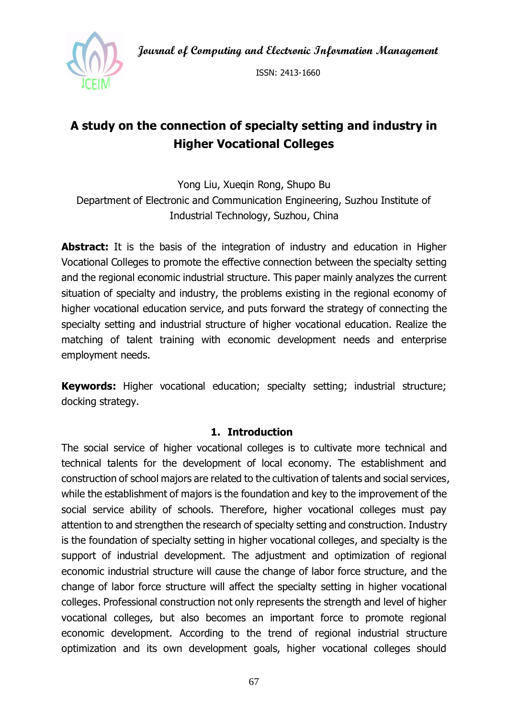**Journal of Computing and Electronic Information Management**



ISSN: 2413-1660

# **A study on the connection of specialty setting and industry in Higher Vocational Colleges**

Yong Liu, Xueqin Rong, Shupo Bu Department of Electronic and Communication Engineering, Suzhou Institute of Industrial Technology, Suzhou, China

**Abstract:** It is the basis of the integration of industry and education in Higher Vocational Colleges to promote the effective connection between the specialty setting and the regional economic industrial structure. This paper mainly analyzes the current situation of specialty and industry, the problems existing in the regional economy of higher vocational education service, and puts forward the strategy of connecting the specialty setting and industrial structure of higher vocational education. Realize the matching of talent training with economic development needs and enterprise employment needs.

**Keywords:** Higher vocational education; specialty setting; industrial structure; docking strategy.

#### **1. Introduction**

The social service of higher vocational colleges is to cultivate more technical and technical talents for the development of local economy. The establishment and construction of school majors are related to the cultivation of talents and social services, while the establishment of majors is the foundation and key to the improvement of the social service ability of schools. Therefore, higher vocational colleges must pay attention to and strengthen the research of specialty setting and construction. Industry is the foundation of specialty setting in higher vocational colleges, and specialty is the support of industrial development. The adjustment and optimization of regional economic industrial structure will cause the change of labor force structure, and the change of labor force structure will affect the specialty setting in higher vocational colleges. Professional construction not only represents the strength and level of higher vocational colleges, but also becomes an important force to promote regional economic development. According to the trend of regional industrial structure optimization and its own development goals, higher vocational colleges should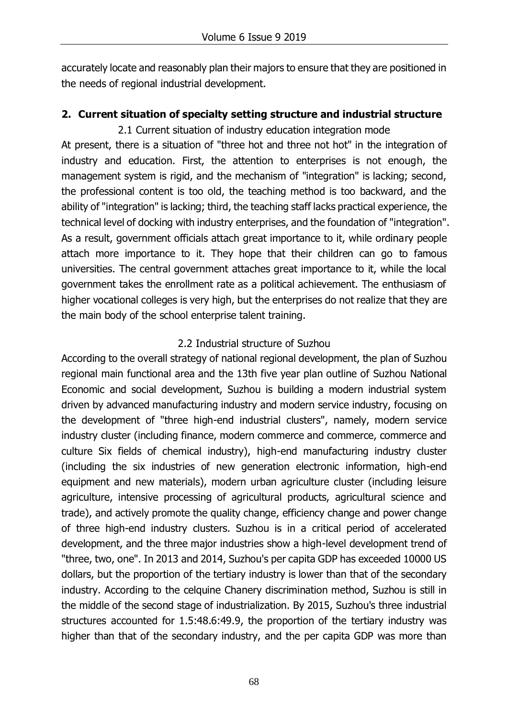accurately locate and reasonably plan their majors to ensure that they are positioned in the needs of regional industrial development.

## **2. Current situation of specialty setting structure and industrial structure**

2.1 Current situation of industry education integration mode

At present, there is a situation of "three hot and three not hot" in the integration of industry and education. First, the attention to enterprises is not enough, the management system is rigid, and the mechanism of "integration" is lacking; second, the professional content is too old, the teaching method is too backward, and the ability of "integration" is lacking; third, the teaching staff lacks practical experience, the technical level of docking with industry enterprises, and the foundation of "integration". As a result, government officials attach great importance to it, while ordinary people attach more importance to it. They hope that their children can go to famous universities. The central government attaches great importance to it, while the local government takes the enrollment rate as a political achievement. The enthusiasm of higher vocational colleges is very high, but the enterprises do not realize that they are the main body of the school enterprise talent training.

### 2.2 Industrial structure of Suzhou

According to the overall strategy of national regional development, the plan of Suzhou regional main functional area and the 13th five year plan outline of Suzhou National Economic and social development, Suzhou is building a modern industrial system driven by advanced manufacturing industry and modern service industry, focusing on the development of "three high-end industrial clusters", namely, modern service industry cluster (including finance, modern commerce and commerce, commerce and culture Six fields of chemical industry), high-end manufacturing industry cluster (including the six industries of new generation electronic information, high-end equipment and new materials), modern urban agriculture cluster (including leisure agriculture, intensive processing of agricultural products, agricultural science and trade), and actively promote the quality change, efficiency change and power change of three high-end industry clusters. Suzhou is in a critical period of accelerated development, and the three major industries show a high-level development trend of "three, two, one". In 2013 and 2014, Suzhou's per capita GDP has exceeded 10000 US dollars, but the proportion of the tertiary industry is lower than that of the secondary industry. According to the celquine Chanery discrimination method, Suzhou is still in the middle of the second stage of industrialization. By 2015, Suzhou's three industrial structures accounted for 1.5:48.6:49.9, the proportion of the tertiary industry was higher than that of the secondary industry, and the per capita GDP was more than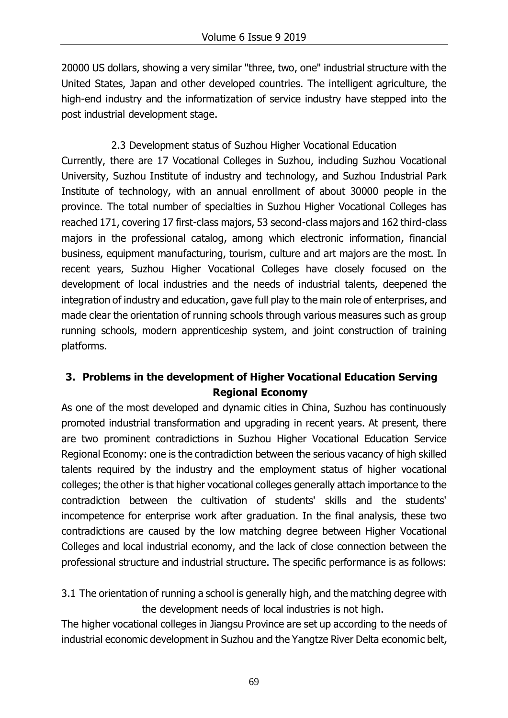20000 US dollars, showing a very similar "three, two, one" industrial structure with the United States, Japan and other developed countries. The intelligent agriculture, the high-end industry and the informatization of service industry have stepped into the post industrial development stage.

2.3 Development status of Suzhou Higher Vocational Education Currently, there are 17 Vocational Colleges in Suzhou, including Suzhou Vocational University, Suzhou Institute of industry and technology, and Suzhou Industrial Park Institute of technology, with an annual enrollment of about 30000 people in the province. The total number of specialties in Suzhou Higher Vocational Colleges has reached 171, covering 17 first-class majors, 53 second-class majors and 162 third-class majors in the professional catalog, among which electronic information, financial business, equipment manufacturing, tourism, culture and art majors are the most. In recent years, Suzhou Higher Vocational Colleges have closely focused on the development of local industries and the needs of industrial talents, deepened the integration of industry and education, gave full play to the main role of enterprises, and made clear the orientation of running schools through various measures such as group running schools, modern apprenticeship system, and joint construction of training platforms.

## **3. Problems in the development of Higher Vocational Education Serving Regional Economy**

As one of the most developed and dynamic cities in China, Suzhou has continuously promoted industrial transformation and upgrading in recent years. At present, there are two prominent contradictions in Suzhou Higher Vocational Education Service Regional Economy: one is the contradiction between the serious vacancy of high skilled talents required by the industry and the employment status of higher vocational colleges; the other is that higher vocational colleges generally attach importance to the contradiction between the cultivation of students' skills and the students' incompetence for enterprise work after graduation. In the final analysis, these two contradictions are caused by the low matching degree between Higher Vocational Colleges and local industrial economy, and the lack of close connection between the professional structure and industrial structure. The specific performance is as follows:

3.1 The orientation of running a school is generally high, and the matching degree with the development needs of local industries is not high.

The higher vocational colleges in Jiangsu Province are set up according to the needs of industrial economic development in Suzhou and the Yangtze River Delta economic belt,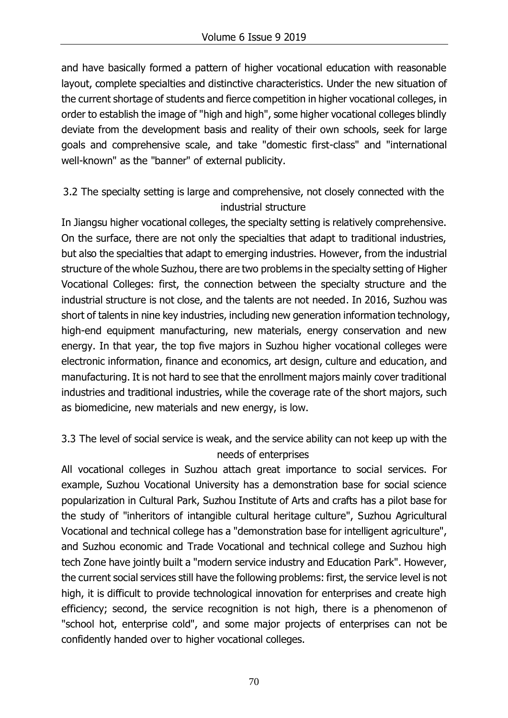and have basically formed a pattern of higher vocational education with reasonable layout, complete specialties and distinctive characteristics. Under the new situation of the current shortage of students and fierce competition in higher vocational colleges, in order to establish the image of "high and high", some higher vocational colleges blindly deviate from the development basis and reality of their own schools, seek for large goals and comprehensive scale, and take "domestic first-class" and "international well-known" as the "banner" of external publicity.

## 3.2 The specialty setting is large and comprehensive, not closely connected with the industrial structure

In Jiangsu higher vocational colleges, the specialty setting is relatively comprehensive. On the surface, there are not only the specialties that adapt to traditional industries, but also the specialties that adapt to emerging industries. However, from the industrial structure of the whole Suzhou, there are two problems in the specialty setting of Higher Vocational Colleges: first, the connection between the specialty structure and the industrial structure is not close, and the talents are not needed. In 2016, Suzhou was short of talents in nine key industries, including new generation information technology, high-end equipment manufacturing, new materials, energy conservation and new energy. In that year, the top five majors in Suzhou higher vocational colleges were electronic information, finance and economics, art design, culture and education, and manufacturing. It is not hard to see that the enrollment majors mainly cover traditional industries and traditional industries, while the coverage rate of the short majors, such as biomedicine, new materials and new energy, is low.

## 3.3 The level of social service is weak, and the service ability can not keep up with the needs of enterprises

All vocational colleges in Suzhou attach great importance to social services. For example, Suzhou Vocational University has a demonstration base for social science popularization in Cultural Park, Suzhou Institute of Arts and crafts has a pilot base for the study of "inheritors of intangible cultural heritage culture", Suzhou Agricultural Vocational and technical college has a "demonstration base for intelligent agriculture", and Suzhou economic and Trade Vocational and technical college and Suzhou high tech Zone have jointly built a "modern service industry and Education Park". However, the current social services still have the following problems: first, the service level is not high, it is difficult to provide technological innovation for enterprises and create high efficiency; second, the service recognition is not high, there is a phenomenon of "school hot, enterprise cold", and some major projects of enterprises can not be confidently handed over to higher vocational colleges.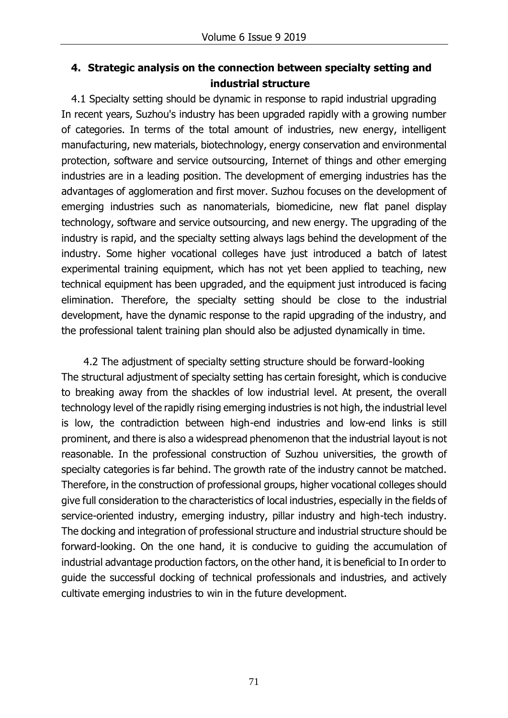## **4. Strategic analysis on the connection between specialty setting and industrial structure**

4.1 Specialty setting should be dynamic in response to rapid industrial upgrading In recent years, Suzhou's industry has been upgraded rapidly with a growing number of categories. In terms of the total amount of industries, new energy, intelligent manufacturing, new materials, biotechnology, energy conservation and environmental protection, software and service outsourcing, Internet of things and other emerging industries are in a leading position. The development of emerging industries has the advantages of agglomeration and first mover. Suzhou focuses on the development of emerging industries such as nanomaterials, biomedicine, new flat panel display technology, software and service outsourcing, and new energy. The upgrading of the industry is rapid, and the specialty setting always lags behind the development of the industry. Some higher vocational colleges have just introduced a batch of latest experimental training equipment, which has not yet been applied to teaching, new technical equipment has been upgraded, and the equipment just introduced is facing elimination. Therefore, the specialty setting should be close to the industrial development, have the dynamic response to the rapid upgrading of the industry, and the professional talent training plan should also be adjusted dynamically in time.

4.2 The adjustment of specialty setting structure should be forward-looking The structural adjustment of specialty setting has certain foresight, which is conducive to breaking away from the shackles of low industrial level. At present, the overall technology level of the rapidly rising emerging industries is not high, the industrial level is low, the contradiction between high-end industries and low-end links is still prominent, and there is also a widespread phenomenon that the industrial layout is not reasonable. In the professional construction of Suzhou universities, the growth of specialty categories is far behind. The growth rate of the industry cannot be matched. Therefore, in the construction of professional groups, higher vocational colleges should give full consideration to the characteristics of local industries, especially in the fields of service-oriented industry, emerging industry, pillar industry and high-tech industry. The docking and integration of professional structure and industrial structure should be forward-looking. On the one hand, it is conducive to guiding the accumulation of industrial advantage production factors, on the other hand, it is beneficial to In order to guide the successful docking of technical professionals and industries, and actively cultivate emerging industries to win in the future development.